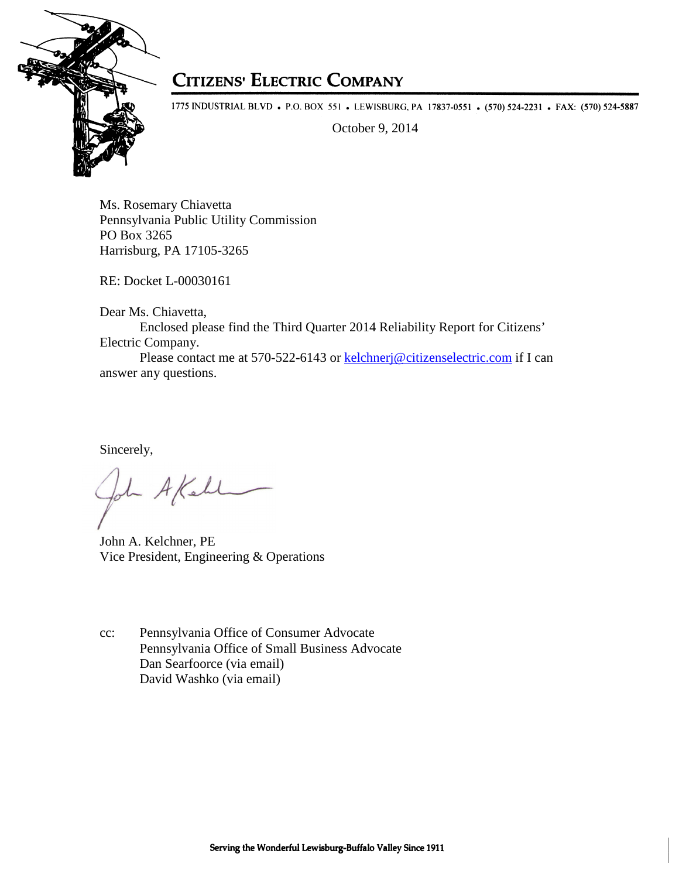

## **CITIZENS' ELECTRIC COMPANY**

1775 INDUSTRIAL BLVD • P.O. BOX 551 • LEWISBURG, PA 17837-0551 • (570) 524-2231 • FAX: (570) 524-5887

October 9, 2014

Ms. Rosemary Chiavetta Pennsylvania Public Utility Commission PO Box 3265 Harrisburg, PA 17105-3265

RE: Docket L-00030161

Dear Ms. Chiavetta,

Enclosed please find the Third Quarter 2014 Reliability Report for Citizens' Electric Company.

Please contact me at 570-522-6143 or kelchnerj@citizenselectric.com if I can answer any questions.

Sincerely,

- A Kell

John A. Kelchner, PE Vice President, Engineering & Operations

cc: Pennsylvania Office of Consumer Advocate Pennsylvania Office of Small Business Advocate Dan Searfoorce (via email) David Washko (via email)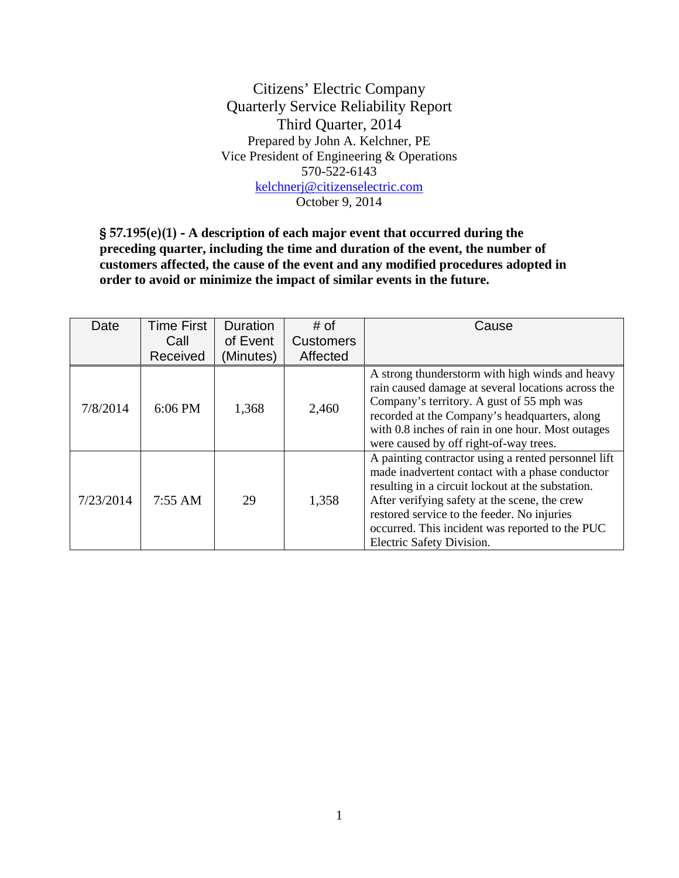Citizens' Electric Company Quarterly Service Reliability Report Third Quarter, 2014 Prepared by John A. Kelchner, PE Vice President of Engineering & Operations 570-522-6143 kelchnerj@citizenselectric.com October 9, 2014

§ 57.195(e)(1) - **A description of each major event that occurred during the preceding quarter, including the time and duration of the event, the number of customers affected, the cause of the event and any modified procedures adopted in order to avoid or minimize the impact of similar events in the future.** 

| Date      | <b>Time First</b> | <b>Duration</b> | # of             | Cause                                                                                                                                                                                                                                                                                                                                       |
|-----------|-------------------|-----------------|------------------|---------------------------------------------------------------------------------------------------------------------------------------------------------------------------------------------------------------------------------------------------------------------------------------------------------------------------------------------|
|           | Call              | of Event        | <b>Customers</b> |                                                                                                                                                                                                                                                                                                                                             |
|           | Received          | (Minutes)       | Affected         |                                                                                                                                                                                                                                                                                                                                             |
| 7/8/2014  | $6:06$ PM         | 1,368           | 2,460            | A strong thunderstorm with high winds and heavy<br>rain caused damage at several locations across the<br>Company's territory. A gust of 55 mph was<br>recorded at the Company's headquarters, along<br>with 0.8 inches of rain in one hour. Most outages<br>were caused by off right-of-way trees.                                          |
| 7/23/2014 | 7:55 AM           | 29              | 1,358            | A painting contractor using a rented personnel lift<br>made inadvertent contact with a phase conductor<br>resulting in a circuit lockout at the substation.<br>After verifying safety at the scene, the crew<br>restored service to the feeder. No injuries<br>occurred. This incident was reported to the PUC<br>Electric Safety Division. |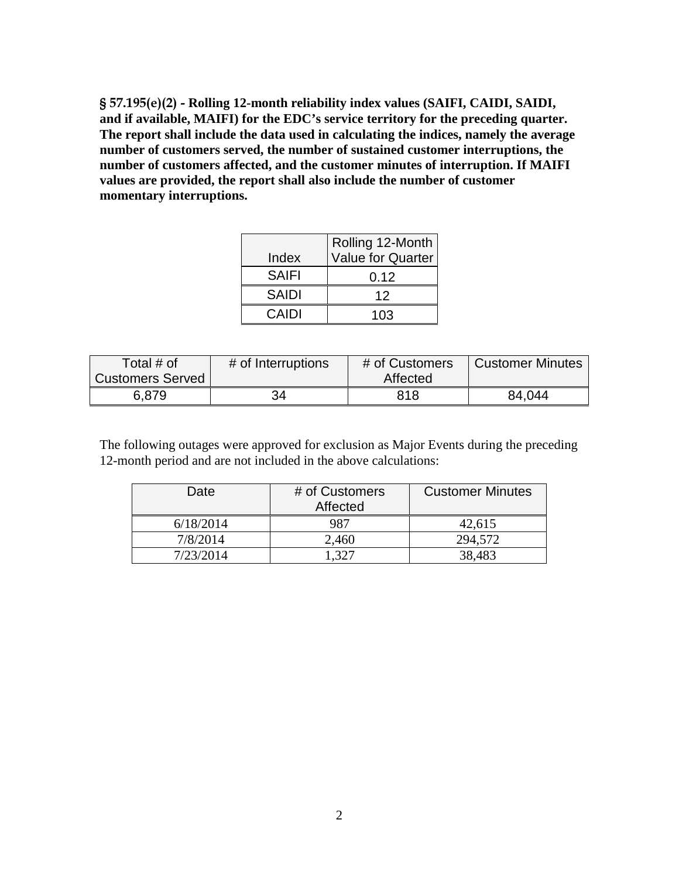§ 57.195(e)(2) - **Rolling 12-month reliability index values (SAIFI, CAIDI, SAIDI, and if available, MAIFI) for the EDC's service territory for the preceding quarter. The report shall include the data used in calculating the indices, namely the average number of customers served, the number of sustained customer interruptions, the number of customers affected, and the customer minutes of interruption. If MAIFI values are provided, the report shall also include the number of customer momentary interruptions.** 

|              | Rolling 12-Month         |
|--------------|--------------------------|
| Index        | <b>Value for Quarter</b> |
| <b>SAIFI</b> | 0.12                     |
| <b>SAIDI</b> | 12                       |
| CAIDI        | 103                      |

| Total $#$ of            | # of Interruptions | # of Customers | <b>Customer Minutes</b> |
|-------------------------|--------------------|----------------|-------------------------|
| <b>Customers Served</b> |                    | Affected       |                         |
| 6,879                   | 34                 | 818            | 84.044                  |

The following outages were approved for exclusion as Major Events during the preceding 12-month period and are not included in the above calculations:

| Date      | # of Customers<br>Affected | <b>Customer Minutes</b> |
|-----------|----------------------------|-------------------------|
| 6/18/2014 | 987                        | 42,615                  |
| 7/8/2014  | 2,460                      | 294,572                 |
| 7/23/2014 | - 327                      | 38,483                  |